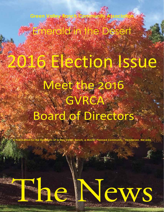2016 Election Issue Meet the 2016 GVRCA

Emerald in the Desert

Board of Directors,

**Master Planned Community** 





**Green Valley Ranc** 

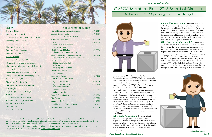### *www.greenvalleyranch.org*

# GVRCA Members Elect 2016 Board of Directors

## And Ratify the 2016 Operating and Reserve Budget



On December 3, 2015, the Green Valley Ranch Community Association (GVRCA) held their annual election. We are dedicating this issue to that topic. Therefore, the remainder of this issue will include election results, biographies of the 2016 GVRCA Board of Directors, and some background regarding the election process.

Green Valley Ranch is a beautiful, thriving community. In fact, GVRCA was nominated for the prestigious Community Association of the Year award in 2010 by our property management company, Terra West. How did this nomination come about? It was the result of the time and effort expended by the residents of Green Valley Ranch and the GVRCA Board of Directors all working together to maintain the integrity of our community as put forth in the Covenants, Conditions, Restrictions, Reservations and Easements (CC&Rs) that govern this outstanding community we call home.

You Are The Association. Surprised? According to Article 5, subsection 5.2 of the CC&Rs, "members of the Association shall be each Owner (including Declarant) of one (1) [or] more Lots, Parcels, Development Tracts or Area within the entirety of the Property…Membership in the Association shall be subject to this Declaration, Nevada law, the Articles, the Bylaws, and the Rules and Regulations from time-to-time adopted by the Association."

**What is the Association?** The Association is an organization brought about under Nevada non-profit corporation law and "is charged with and vested with the powers prescribed by Nevada law (including NRS Chapter 116 as applicable) and as otherwise set forth in the Articles, Bylaws, and this Declaration." (CC&Rs, Article 5, subsection 5.1)

**What does the membership do?** In a nutshell, it operates the organization known as the GVRCA. You have the power and duty to levy assessments and charges to the membership for the operation of the Green Valley Ranch property. (See Article 6, subsection 6.1.1) You have the power and duty to repair and maintain Association property and GVRCA Common Areas. You have the power, but not the duty to grant easements and Rights-of-Way in, on, under, and through the Association Property subject to consent of 75% of the GVRCA Members. You have the power, but not the duty to employ or contract a professional manager or management company to perform any or all of



### **HELPFUL PHONE DIRECTORY**

| City of Henderson General Information                                                                      | 267-2323 |
|------------------------------------------------------------------------------------------------------------|----------|
| <b>Animal Control Hotline</b><br>24 Hour Emergency & After Hours                                           | 267-4900 |
| <b>City Code Enforcement</b>                                                                               | 267-3950 |
| <b>DMV</b><br>1399 American Pacific Drive<br>www.dmvnv.com                                                 | 486-4368 |
| Graffiti Removal Hotline<br>24 Hour Public Hotline Reports                                                 | 267-3220 |
| Green Valley Ranch Community Association<br>Issues within the Ranch contact Terra West                     | 856-3773 |
| <b>Henderson Pavilion</b><br>200 S. Green Valley Parkway<br><b>Ticket Line</b><br>For groups of 15 or more |          |
|                                                                                                            |          |
| <b>Henderson Libraries</b><br>www.hdpl.org                                                                 |          |
| Paseo Verde Branch<br>280 S. Green Valley Parkway                                                          | 492-7252 |
| Neighborhood Services                                                                                      | 267-2000 |
| Neighborhood Justice Center<br>Free mediation service                                                      | 455-5855 |
| Neighborhood Enhancement<br>Unkempt vehicles                                                               | 267-2017 |
| Parks & Recreation (Henderson)                                                                             | 267-4000 |
| <b>NV</b> Energy                                                                                           | 367-5555 |
| Southwest Gas Co.                                                                                          | 365-1555 |
| Republic Services (Trash Disposal)                                                                         | 735-5151 |



### **GVRCA**

### **Board of Directors**

President, Rick Schmalz Vice President, Jocelyn Holzwarth, DCAL® Secretary, David Sánchez Treasurer, Lisa de Marigny, DCAL® Director, Charles Geisendorf Director, Doreen Morgan Director, Paul Rowcliffe **Board Liaisons** Architectural, Paul Rowcliffe Communication, Jocelyn Holzwarth Government Relations, Charles Geisendorf and David Sánchez Landscape, Jocelyn Holzwarth, DCAL® Safety & Security, Lisa de Marigny, DCAL® Social/Recreation, Doreen Morgan Water Use, Paul Rowcliffe **Terra West Management Services** Kristin Fyler Supervising Community Manager, CMCA®, AMS®, PCAM® Tina Brown, ARC Coordinator Cheyenne La Rance, Community Administrative Assistant Tel: 702/856-3773 Fax: 702/251-4509

The Green Valley Ranch News is produced by the Green Valley Ranch Community Association (GVRCA). The newsletter may contain controversial or unsubstantiated information by the authors. The contents herein are not necessarily the views of the GVRCA and the Association cannot be held responsible for opinions, views, or facts expressed.

The Green Valley Ranch News is published on a bimonthly basis. To advertise or submit an article, please contact the editor, Sheryl Schmalz at 702/260-7622 or E-mail at: sherylschmalz@gmail.com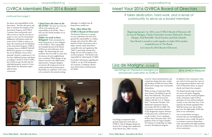### *www.greenvalleyranch.org*

the duties and responsibilities of the Association. You have the power and duty to maintain the integrity of the Association Property and GVRCA Common Areas and provide such other services as may be necessary or proper to carry out the Association's obligations and business under the terms of the CC&Rs in order to enhance the enjoyment by the Members of the Association Property, GVRCA Common Areas or GREEN VALLEY RANCH in general, or to facilitate the use by Members of any of the aforesaid. (Article 6, subsection 6.1.6) You have additional powers and duties according to Article 6 of the CC&R's, but I think you get the idea that the individual property owners in Green Valley Ranch are ultimately responsible for their community.

# GVRCA Members Elect 2016 Board

### continued from page 3

# Meet Your 2016 GVRCA Board of Directors

Beginning January 1st, 2016, your GVRCA Board of Directors will be Lisa de Marigny, Charles Geisendorf, Jocelyn Holzwarth, Doreen Morgan, Paul Rowcliffe, David Sanchez and Rick Schmalz. Your Board is excited to work together to make 2016 another wonderful year in The Ranch. Let's meet the 2016 Board of Directors.

## *It takes dedication, hard work, and a sense of community to serve as a board member.*

# Lisa de Marigny, *DCAL®*

*2016 GVRCA Treasurer, Lisa brings an impressive background and proven work ethic to GVRCA*





Lisa brings an impressive background and proven work ethic to GVRCA. The de Marigny family has lived in the Carriage Lane subdivision of the Ranch since 2002. Lisa has

### served in various board positions and committees during that time, including President of both the Green Valley Ranch and Carriage Lane Community

Associations.

While serving as Community Relations Liaison, she lobbied to get the Paseo Vista Park built. This project stands out the most because her children still refer to it as "Mama's Park." Lisa became Nevada's 13th Dedicated Community Association Leader (DCAL) in 2008. The Community Association's Institute (CAI) designation requires 30 hours of education and a commitment to a code of ethics. Lisa is a graduate of Penn State University and a 2012 graduate of the Las Vegas Chamber of Commerce's Leadership Las Vegas executive development program.

In addition to her community volunteer work, Lisa has spent her career in the transportation business and is the CEO of Showtime Tours, an airport shuttle and charter bus company.

The Ranch's broad range of amenities such as the parks, shopping, restaurants and the overall atmosphere of the community make GVR an ideal place for Lisa and her husband, Gerard, to raise their four boys. Coming from the densely populated New York/New Jersey area, the de Marigny's love the high quality of life that exists in our community.

Lisa is excited about serving as treasurer this year and updating the association's reserve study. Her goal is to continue to preserve homeowner value and maintain the high standards that our residents have come to expect of our community.

**I don't have the time to do all of this!** Of course not, but you still have the authority and responsibility to do all this. That is why you elect board members on an annual basis.

### **Didn't we used to have**

**delegates?** Each community formerly selected one or more delegates to the GVRCA. Their responsibilities included election of the Board of Directors and ratification of the budget. By representing the communities, they were able to ensure that the interests of each neighborhood were considered. With changes in legislation enacted in the 2009 session, representative voting by delegates was barred. All voting must now be conducted directly by homeowners. Potentially, we could have 3,914 votes to be counted at the annual meeting,

although it is unlikely that all homeowners would vote.

### **Now, what about the GVRCA Board of Directors?**

The Board of Directors is a group of seven individuals who have been granted the responsibility to conduct, manage and control the affairs and business of their Association, and to adopt, amend, repeal and enforce reasonable rules and regulations (the "Rules"), governing, among other things, the use and occupancy of Association property. The Board is also responsible for enforcing the CC&Rs.

For further information regarding the GVRCA, see the GVR Declaration of Covenants, Conditions, Restrictions, Reservations and Easements (CC&Rs).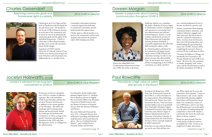*2016 GVRCA Vice President Jocelyn is admired for her long-term commitment to GVRCA*



Jocelyn has served our community since 1996 in a number of different capacities. She is the immediate GVRCA past-President and has also served as Treasurer and Secretary in addition to her current position as Vice-President. She will be the Landscape and Communication liaisons and has previously chaired the Landscape and Architectural Committees, as well as serving on the Social Committee and editing the Newsletter in the GVR early days. She began her service as a delegate for

her subassociation.

For education, Jocelyn holds undergraduate degrees from U.C. Berkeley; one in Business and one in English. She received her MBA at the Roseman University of Health Sciences and her Masters of Science in Financial Services from the Institute of Business and Finance.

She owns Holzwarth Financial Services, LLC, a financial advisory firm dedicated to providing individuals and small businesses with sound financial advice. She is a Certified Financial Planner™ and Certified Divorce Financial Analyst and has been

Doreen Morgan

## *Doreen is passionate about fostering 2016 GVRCA Director*

# *communication throughout GVRCA*

healthcare industry as a consultant. She holds a Bachelor of Science degree in Mathematics and has a background and experience in accounting, business administration and software/ web development. Doreen is a past member and financial secretary of Delta Educational and Leadership Training Academy (DeltaEd), a non-profit organization that offers life skills training for today's youth.

As a board president and liaison for her community, she began attending the master GVRCA board and committee meetings in order to stay abreast of issues that affected Bella Vista. As she became more aware of all that was happening in the GVRCA community as a whole, she felt it

was a natural progression for her to become involved on a greater scale.

Doreen is passionate about keeping community leaders, volunteers, and residents informed, engaged, and interconnected. She knows that in order for a planned community to thrive, everyone must do their part; that starts with knowing about and understanding the governing documents, the CC&R's. Doreen will be completing the necessary classes to earn her DCAL certification in 2016.

"I'm from the Midwest, Chicago area specifically, but I'm proud to call Nevada, Henderson and GVRCA my home." She loves the close proximity to schools, shopping, trails, restaurants, and the entertainment as well as the family atmosphere of GVRCA.

# Paul Rowcliffe

*2016 GVRCA Director Paul places a high value on safety and security in The Ranch*



Serving on the Board since 1998; Paul is the Architectural Liaison for the GVRCA, as well as President of his subassociation, Altezza/Meritage. Paul and his wife, Dottie, have been married for 48 years. They have three married children and seven grandchildren. Paul holds a Bachelor's degree in Industrial Economics from Purdue University and a Master's degree in Business Administration from the University of Northern Colorado. A retired colonel from the United States Air Force, Paul is currently employed by URS Corporation. If you have an issue with the Ranch, you can be sure Paul will hear you

out. When asked why he serves the community, Paul responds, "I want to help maintain a safe, secure, orderly and aesthetically pleasing neighborhood where each homeowner has an input. Our community consists of over 3,900 homes, and it is my hope that all homeowners can work together in the spirit of understanding and compromise so that GVR remains a community that meets the needs and desires of all our residents."

Being very goal oriented, Paul has a clear picture of what he wants to accomplish for GVR. "I want to see a high level of safety and security

continued on page 11

# Charles Geisendorf

## *2016 GVRCA Director Balancing community goals and homeowner rights is a priority*



Charles grew up in Las Vegas and has lived in Henderson with his family for the past eleven years. He decided to run for the GVRCA Board to become an active part of the community and to ensure its success by balancing the community goals and the rights of the individual homeowners. Charles is a first-time GVRCA Board member and also serves on his sub-association board, Pacific Images.

A graduate of UNLV and the University of Colorado School of Law, Charles is an attorney practicing in the areas of business and real property law. Additionally, he is a member of the

Community Associations Institute, a national organization dedicated to community associations and the professionals who support them.

Charles' goal as a Board member is to preserve the community's architectural

integrity and maintain the property values while keeping costs down.



Doreen has called Bella Vista Condominium subassociation home since 2000. She works in the home

## Jocelyn Holzwarth, *DCAL®*

continued on page 10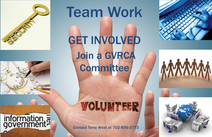

# information,

# Team Work GET INVOLVED Join a GVRCA **Committee**

# WOLUMTEER

Contact Terra West at 702-856-3773

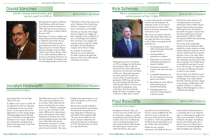Relocating from Southern California, David Sánchez and his wife Jeanne have lived in Southern Nevada since 1980. They have lived in Henderson since 1982 and have resided in Mystic Bay since 1999.

David spent 33 years as a public sector Human Resources Director/Manager in California and Nevada. He was the Director of Personnel & Employee Relations for the City of Las Vegas and served as the first Human Resources Manager of the Las Vegas Clark County Library District. Active in Civic and Community Affairs, he has been on the Board of Directors of the Latin Chamber of Commerce and is the founding President of the Green

Valley Rotary Club. He has also served as the Chairmen of the Nevada State Advisory Committee to the United States Commission on Civil Rights.

David has an Associate of Arts degree from Los Angeles City College and both a Bachelor of Arts and Master of Arts, in Psychology from California State University, at Los Angeles. He currently teaches at both the College of Southern Nevada (Henderson Campus) and at Everest College.

 $\checkmark$  Increasing property values while maintaining a financially strong association

 $\checkmark$  Assuring stability in assessments to residents

As a member of the Board of Directors, he uses his administrative skills to promote the goals and objectives of the Green Valley Ranch Community Association.

 $\checkmark$  Maintenance of community landscaping and property to superior standards

 $\checkmark$  Assuring our community remains a safe and secure place

 $\checkmark$  Compatible development of the one remaining commercial parcel at the District

 $\checkmark$  Becoming more water efficient while maintaining our beautiful landscaping

 $\checkmark$  Expanding options for interaction and participation in Ranch activities

Rick began his service to the Ranch in 1996 as a delegate for the Horizons sub-association. Also in 1996, he became the first Green Valley Ranch homeowner to be elected to the Board of Directors. Along with representatives from American Nevada Corporation, Rick was instrumental in getting the GVRCA up and running. As an elected Board Member from 1996 through 2006 he served in every board office including five terms as President. Rick also chaired the Budget & Finance Committee, Legal Committee, Public Safety Commit-

tee and coordinated the community's common-area landscaping as the Landscape Liaison. If you want to know the history of Green Valley Ranch Community Association, Rick is the person to ask.

After a seven year absence from the Green Valley Ranch Board, Rick was once again elected to serve starting in 2014. Rick's current goals for the association are:

- 
- 
- - to live
- 
- 
- 

# Paul Rowcliffe **2016 GVRCA Director**

Rick has been and continues to be a strong proponent of consistent enforcement of the CC&R's. Preserving and improving the outstanding GVR experience for all residents is his number one goal. It concerns him that many people do not read and understand the GVRCA CC&R's they agreed to follow when purchasing property in The Ranch.

He is aware of the considerable amount of time and dedicated effort needed by so many volunteers to keep a Master Planned Community the size of Green Valley Ranch the most desirable place to live in the valley. When asked to state his favorite thing about our community, he doesn't miss a beat when answering "Green Valley Ranch is essentially the same place I moved to over 20 years ago. It's a great place to live and a wonderful environment in which to raise a family."

For over thirty years, Rick has served Southern Nevada residents as a Financial Manager in the utility industry. He holds a Bachelor of Science degree in Accounting, an MBA degree with emphasis in Finance, an Associate Degree in Risk Management, and is a Certified Cash Manager.

# David Sánchez

# *David's strong administrative skills 2016 GVRCA Secretary are an asset to GVRCA.*



# Rick Schmalz

## *2016 GVRCA President Rick is a proponent of consistent enforcement of the CC&Rs*



practicing locally in the Las Vegas valley for 18 years.

In addition to her service to GVR, she was appointed in 2015 as a Planning Commissioner for the City of Henderson. In that capacity she has the opportunity to review zoning changes and design applications for developments so that they can be approved at Henderson City Council. She finds this work greatly rewarding and appreciates the opportunity to give back to the community.

# Jocelyn Holzwarth

The Holzwarths moved to GVR in 1995, when the development was in its infancy. When asked why she became involved with our community, she said, "With the community as new as it was, I felt that I could make a difference by volunteering to preserve the property values, beautiful grounds, community feel, safety and surrounding amenities that make Green Valley Ranch the premier homeowner's association it is today." Now that the association is 21 years old, it's time for a facelift. She enjoys looking at the improvements we can make in the Ranch, as well as in the area as a whole.

She loves the amenities available in and around the Ranch and Southern Nevada and for fun spends lots of time sailing their 33' Beneteau on Lake Mead with her husband, Bill. "Yes, you can race sailboats in the desert!" Jocelyn is admired by her peers for her long-term commitment to GVR. They know they can call on her to get the job done.

*2016 GVRCA Vice President*

continued from page 6

throughout the Ranch. Safety and security issues must include strict traffic enforcement, adequate crosswalks, and parking around schools. We must continue to be active in influencing current and future development in and around the Ranch. Maintaining and improving the common areas within the Ranch is also a goal,

especially now that the Ranch has become a mature neighborhood. Not only do we want to maintain the status quo of the Ranch, but we want to improve it." Paul is also mindful of the Board's fiscal responsibility to use your funds wisely and prudently."

Finally, fair and consistent enforcement of CC&Rs for the com-

### continued from page 7

munity benefit of all homeowners is a continuing task. It is an important aspect in maintaining the quality and value of our community." Paul loves the Ranch, the people, the landscaping, the trails and the parks. He is proud to be part of a Board that is committed to maintaining high standards throughout the community.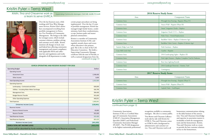*Kristin, Tina and Cheyenne work as* supervising Community Manager, CMCA®, AMS®, PCAM® *a team to serve GVRCA*



# Kristin Fyler – Terra West

Over the last fourteen years, while working with Terra West Management Services, Kristin Fyler's duties have encompassed everything from portfolio management to Executive Vice President of Community Management. She brings to the table her strongest assets, which include customer relations, problem solving and customer service skills. Kristin monitors all changes in local, state and federal laws affecting community management and ensures compliance with applicable HOA and collection law and regulations and works alongside of all departments to make

certain proper procedures are being implemented. Over the last 12 years of portfolio management, Kristin has managed single family homes, condominiums, hotel-share condominiums, co-ops, business parks and master planned communities.

| <b>GVRCA OPERATING AND RESERVE BUDGET FOR 2016</b>                               |                |  |
|----------------------------------------------------------------------------------|----------------|--|
| <b>Operating Budget</b>                                                          | <b>Dollars</b> |  |
| Operating Income                                                                 |                |  |
| <b>Assessment Dues</b>                                                           | 2,348,400      |  |
| Other Income                                                                     | 3,600          |  |
| <b>Total Operating Income</b>                                                    | 2,352,000      |  |
| <b>Operating Expenses</b>                                                        |                |  |
| Landscaping - Contracted and Other                                               | 828,000        |  |
| Utilities - Including Water Meter Surcharge                                      | 426,790        |  |
| <b>Management Fees</b>                                                           | 284,400        |  |
| <b>Budget Reserve Transfer</b>                                                   | 501,600        |  |
| <b>Other Operating Expenses</b>                                                  | 440,051        |  |
| <b>Total Expenses</b>                                                            | 2,480,841      |  |
| <b>OPERATING INCOME (LOSS)</b>                                                   | (128, 841)     |  |
| Reserves Income                                                                  |                |  |
| Reserve Interest Income                                                          | 40,800         |  |
| Reserve Transfer                                                                 | 501,600        |  |
| <b>Total Reserves Income</b>                                                     | 542,400        |  |
| <b>Total Reserves Expenses</b>                                                   | 883,429        |  |
| <b>RESERVES INCOME (LOSS)</b>                                                    | (341, 029)     |  |
| <b>GVRCA TOTAL NET INCOME (LOSS)</b>                                             | (469, 870)     |  |
| Losses will be absorbed by funds existing in the Operating and Reserve accounts. |                |  |

| <b>2016 Reserve Study Items</b> |                                                          |  |
|---------------------------------|----------------------------------------------------------|--|
| Area                            | <b>Component Name</b>                                    |  |
| <b>Common Areas</b>             | Wrought Iron Fencing - Repaint (Phase IV)                |  |
| Common Areas                    | Stucco Wall - Repaint (Phase III)                        |  |
| <b>Common Areas</b>             | Smart" Irrigation Clocks - Replace                       |  |
| Common Areas                    | Irrigation Clock CCU's - Replace                         |  |
| <b>Common Areas</b>             | Palm Trees - Partial Replacement                         |  |
| Common Areas                    | Backflow Valves - Replace (Unknown Age)                  |  |
| <b>Common Areas</b>             | Backflow Valve Covers - Replace (Unkown Age)             |  |
| Summit Ridge Lane Park          | Park Furniture - Replace                                 |  |
| Cozy Hill Circle Park           | Gazebo - Repaint                                         |  |
| Common Areas                    | 2016 Landscaping Lights - Replace (II)                   |  |
| Common Areas                    | Pole Light Fixtures - Replace Complete Trail & Parkettes |  |
| Common Areas                    | Rest Area Lighting Retrofit                              |  |
| Common Areas                    | 2016 Landscape Renovate - Entries, Turf                  |  |
| Common Areas                    | Contingency                                              |  |
| <b>2017 Reserve Study Items</b> |                                                          |  |
| Area                            | <b>Component Name</b>                                    |  |
| <b>Common Areas</b>             | Wrought Iron Fencing - Repaint (Phase V)                 |  |
| Common Areas                    | Stucco Wall - Repaint (Phase IV)                         |  |
| <b>Common Areas</b>             | Asphalt Paths - Seal/Repair                              |  |

Kristin is a member of Community Associations Institute (CAI), and regularly attends classes and events where education is the primary goal. She is the co-chair of the CAI Education Committee. She holds a Supervising Community Manager certificate with the state of Nevada, as well as national designations from the continued on page 13

| <b>2016 Reserve Study Items</b> |                                                |  |
|---------------------------------|------------------------------------------------|--|
| <b>Component Name</b><br>Area   |                                                |  |
| Common Areas                    | Wrought Iron Fencing - Repaint (Phase IV)      |  |
| Common Areas                    | Stucco Wall - Repaint (Phase III)              |  |
| Common Areas                    | Smart" Irrigation Clocks - Replace             |  |
| Common Areas                    | Irrigation Clock CCU's - Replace               |  |
| <b>Common Areas</b>             | Palm Trees - Partial Replacement               |  |
| Common Areas                    | Backflow Valves - Replace (Unknown Age)        |  |
| Common Areas                    | Backflow Valve Covers - Replace (Unkown Age)   |  |
| Summit Ridge Lane Park          | Park Furniture - Replace                       |  |
| Cozy Hill Circle Park           | Gazebo - Repaint                               |  |
| Common Areas                    | 2016 Landscaping Lights - Replace (II)         |  |
| Common Areas                    | Pole Light Fixtures - Replace Complete Trail & |  |
| Common Areas                    | Rest Area Lighting Retrofit                    |  |
| Common Areas                    | 2016 Landscape Renovate - Entries, Turf        |  |
| Common Areas                    | Contingency                                    |  |
| <b>2017 Reserve Study Items</b> |                                                |  |
| Area                            | <b>Component Name</b>                          |  |
| Common Areas                    | Wrought Iron Fencing - Repaint (Phase V)       |  |
| Common Areas                    | Stucco Wall - Repaint (Phase IV)               |  |
| Common Areas                    | Asphalt Paths - Seal/Repair                    |  |

Community Associations Institute (CAI) as a Certified Manager of Community Associations (CMCA®), Association Management Specialist (AMS®) and Professional Community Association Manager (PCAM®). The PCAM designation is the highest nationwide professional

recognition available to community managers. She also is a notary public. Tina Brown and Cheyenne LaRance work side by side with Kristin for GVRCA. Tina and Cheyenne comes to GVRCA with a background in administrative and customer service. Tina and Cheyenne tend to all

homeowner communications relating to the daily business of the association. Tina and Cheyenne's knowledge and expertise in association matters is invaluable to both the management team and the homeowners. Kristin, Tina and Cheyenne work as a team to provide the best customer relations service to the homeowners.

# Kristin Fyler – Terra West

continued from page 12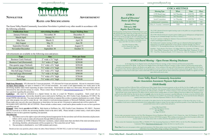## **NEWSLETTER ADVERTISEMENT**

### *www.greenvalleyranch.org*

## **rAtes ANd specificAtioNs**

The Green Valley Ranch Community Association Newsletter is printed every other month in accordance with the following schedule:

| <b>Publication Issue</b> | <b>Advertising Deadline</b> | <b>Target Mailing Date</b> |
|--------------------------|-----------------------------|----------------------------|
| January/February         | November 30                 | December 31                |
| March/April              | January 31                  | February 27                |
| May/June                 | March 31                    | April 30                   |
| July/August              | May $31$                    | June 30                    |
| September/October        | July 31                     | August 31                  |
| November/December        | September 30                | October 31                 |

### Advertisements are available in the following sizes and prices:

| <b>Type</b>                       | <b>Size</b>                                   | <b>Price per Issue</b> |
|-----------------------------------|-----------------------------------------------|------------------------|
| <b>Business Card (Vertical)</b>   | 2" wide x $3\frac{1}{2}$ " high               | \$250.00               |
| <b>Business Card (Horizontal)</b> | $3\frac{1}{2}$ " wide x 2" high               | \$250.00               |
| One-quarter page (Vertical)       | $3\frac{1}{2}$ " wide x $4\frac{3}{4}$ " high | \$350.00               |
| One-quarter page (Horizontal)     | $7\frac{1}{2}$ " wide x $2\frac{1}{4}$ " high | \$350.00               |
| One-half page (Vertical)          | $3\frac{1}{2}$ " wide x $9\frac{3}{4}$ " high | \$500.00               |
| One-half page (Horizontal)        | $7\frac{1}{4}$ " wide x $4\frac{1}{2}$ high   | \$500.00               |
| Full page                         | $7\frac{1}{4}$ " wide x $9\frac{3}{4}$ " high | \$750.00               |
| <b>Back Page</b>                  | $7\frac{1}{4}$ " wide x $4\frac{1}{2}$ " high | \$750.00               |

**Multi-Issue Discounts:** 10% discount for 3-issue pre-payment. 15% discount for 6-issue pre-payment. Ads run in consecutive issues. **Ad Space Reservations:** Ad space is limited to 33% of total newsletter. An e-mail is sent approximately two weeks prior to the advertising deadline dates listed requesting ad space reservations. Reservations are taken on a first-come, first-serve basis and are determined by date and time stamp on e-mails. Please contact Sheryl Schmalz at sherylschmalz@gmail.com or 702/260-7622 if you have questions regarding this procedure.

Meeting agenda, meeting minutes & financial statements available electronically upon request free of charge from Terra West at (702)856-3773. Paper copies will be made available at a cost of \$0.25 for the first ten pages & \$0.10 for subsequent pages. Audio recordings on CD are available at a minimal charge. Item are made available to the Association's membership in accordance with NRS 116.3108 & 116.31083.

**Guidelines:** Ads must be submitted in a digital format via disc or e-mail for Windows recognition. Send e-mail ads to sherylschmalz@gmail.com. Ads on disc should be sent or delivered to NetWares, Inc. 2051 Foxfire Court, Henderson, NV 89012. We accept CMYK color ads only. You must include all images and fonts as separate files on disc or separate attachments on e-mails. Please note what program was used to create the ad. Ads created in word processing programs or Microsoft Publisher cannot be accepted. Please make sure your ad is the exact dimensions as listed above for your ad size. Oversized or undersized ads will be scaled to fit. NO HARD COPY ADS WILL BE ACCEPTED. Please include a contact name, e-mail and/or phone number in case we have questions regarding your ad.

**Payment:** Make checks **payable to GVRCA.** Mail checks to NetWares, Inc., 2051 Foxfire Court, Henderson, NV, 89012. Payment must be received on or before the advertising deadline listed in the above table. Please include a contact name, e-mail and/or phone number in case we have questions regarding your payment.

### **Miscellaneous**:

- 1. The Editor reserves the right to reject advertising deemed inappropriate for the newsletter and will also determine ad placement. Efforts will be made to rotate advertisements through different placements.
- 2. The newsletter, by GVRCA Board of Directors' resolution, cannot contain more than one-third of the total newsletter area in advertising; therefore, advertisements will be accepted on a "first come-first served" basis.
- 3. The newsletter is distributed to over 5,000 residents and owners.

Should you have any questions, please contact the editor, Sheryl Schmalz at 702/260-7622, or send via E-mail to sherylschmalz@gmail.com



Terra West Henderson Office 11135 S. Eastern Ave. Suite 120 Henderson, NV 89052

| <b>GVRCA MEETINGS</b>       |                |             |              |
|-----------------------------|----------------|-------------|--------------|
| <b>Meeting Type</b>         | When           | <b>Time</b> | <b>Place</b> |
| GVR Board (reg.)            | 3rd Thursday   | 6:00 PM     | DW           |
| GVR Board (exec.)           | 3rd Thursday   | 4:30 PM     | DW           |
| Social Committee            | 1st Thursday   | 6:00 PM     | Panera       |
| Architectural Committee     | 2nd/4th Friday | 10 AM/2 PM  | TW           |
| Safety & Security Committee | TBD            | TBD         | TBD          |

## *GVRCA Board Meeting – Open Forum Meeting Disclosure*

At the beginning of every Regular Session of the Board of Director's meeting, an Open Comment and Discussion period will be devoted to items listed on the agenda. At the end of every Regular Session of the Board of Director's meeting, an Open Comment and Discussion period will be provided to the homeowners to speak to the Board on non-agenda items. At the conclusion of the open call to the homeowners, individual members of the Board may respond to those who have addressed the Board, may ask management to review a matter or may ask that a matter be put on a future agenda. However, except in emergencies, no action may be taken upon a matter raised under this item of the agenda until the matter itself has been specifically included on an agenda as an item upon which action may be taken.

The GVRCA Board of Directors regular meeting is open to the public (see www.greenvalleyranch. org for monthly agenda).

The GVRCA Board of Directors executive session is held to go over delinquencies and legal matters. Hearings may be scheduled through Terra West at (702)856-3773.

The Social Committee is looking for volunteers. If you are interested in joining, please send an e-mail to social16@greenvalleyranch.org.

The Architectural Committee meetings are held to go over submitted architectural applications. Homeowners can schedule appointments to meet with the committee through Terra West at (702)856-3773. The meeting time alternates. 2nd Friday is at 10 a.m. & the 4th Friday is at 2 p.m.

PANERA – Panera Bread at The District, 235 Village Walk Drive, Henderson, NV 89052 DW – Desert Willow Community Center, 2020 W. Horizon Ridge Pkwy., Henderson, NV 89012 TW – Terra West, Henderson Branch, 11135 S. Eastern Ave., Suite 120, Henderson, NV 89052

### *Green Valley Ranch Community Association Master Association Assessment Payment Information \$50.00 Monthly*

Per the Assessment and Fines Collection Policy and Enforcement Policy, Regular Master Assessment payments are due on the first (1st) day of **each** month of each **year** ('**Due Date**'). Assessments are delinquent if not paid by the thirtieth (30th) day. Such Assessment shall be deemed delinquent and the Association will impose a late fee in accordance with the list of collection charges attached to the collection Policy as Exhibit "A". A Notice of Intent to Lien to the Owner will be mailed via certified or registered mail, return receipt requested to the address of the lot and the Owner's mailing address on record, if different from the lot address if any Assessment is not paid by the forty-fifth (45th) day after the first day of each **month**, unless the due date for an assessment is specified differently. An Intent to Lien fee of \$45.00 will be charged to any account that is mailed a Notice of Intent to lien. Statements are not mailed to any account that is delinquent. For any account that becomes delinquent, property owner must contact the Collections Department Hotline at 702-251-4596 directly.

Statements are sent as a courtesy and will be sent monthly to the address listed on the Association's membership register as of the date of the notice. It is the responsibility of each owner to advise the Association of any mailing address change in writing. You may make your payment payable to Green Valley Ranch HOA by personal check, money order or cashiers check and mail to:

> Green Valley Ranch HOA c/o Terra West Management Services P.O. Box 98813 Las Vegas, NV 89193

You may make your payment in person at the Terra West Management Services Henderson Office located at 11135 S. Eastern Ave., Suite 120, Henderson, NV 89052 or you may utilize the Authorization Agreement for Automatic Payments (ACH Debits) program. When making your payment, please write the property address and account number on the check, money order or cashiers check that the payment is to be applied to.

Please contact the Community Association Office at (702)856-3773. The Accounting Department at (702)251-4598 or visit the Terra West Management Services Community Website *http://www.terrawest.com* to obtain the form to set up this service.

**Please Note:** If you own your property within a gated sub-association of the Master, please contact your Community Manager for dues payment information and also notify them of any mailing address change according to their procedures.